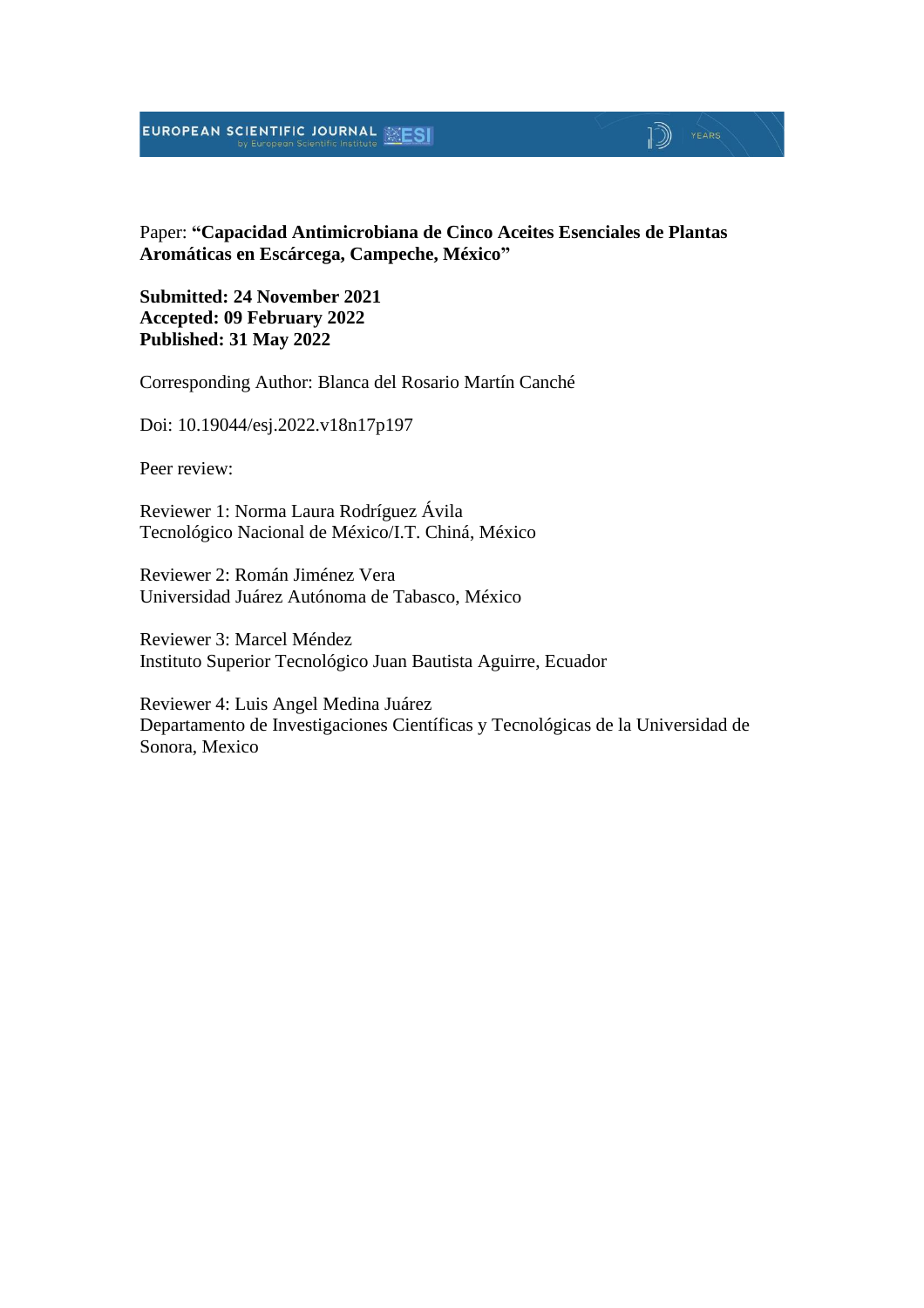## EUROPEAN SCIENTIFIC JOURNAL

#### Paper: **"Capacidad Antimicrobiana de Cinco Aceites Esenciales de Plantas Aromáticas en Escárcega, Campeche, México"**

 $\mathbb{D}$  YEARS

**Submitted: 24 November 2021 Accepted: 09 February 2022 Published: 31 May 2022**

Corresponding Author: Blanca del Rosario Martín Canché

Doi: 10.19044/esj.2022.v18n17p197

Peer review:

Reviewer 1: Norma Laura Rodríguez Ávila Tecnológico Nacional de México/I.T. Chiná, México

Reviewer 2: Román Jiménez Vera Universidad Juárez Autónoma de Tabasco, México

Reviewer 3: Marcel Méndez Instituto Superior Tecnológico Juan Bautista Aguirre, Ecuador

Reviewer 4: Luis Angel Medina Juárez Departamento de Investigaciones Científicas y Tecnológicas de la Universidad de Sonora, Mexico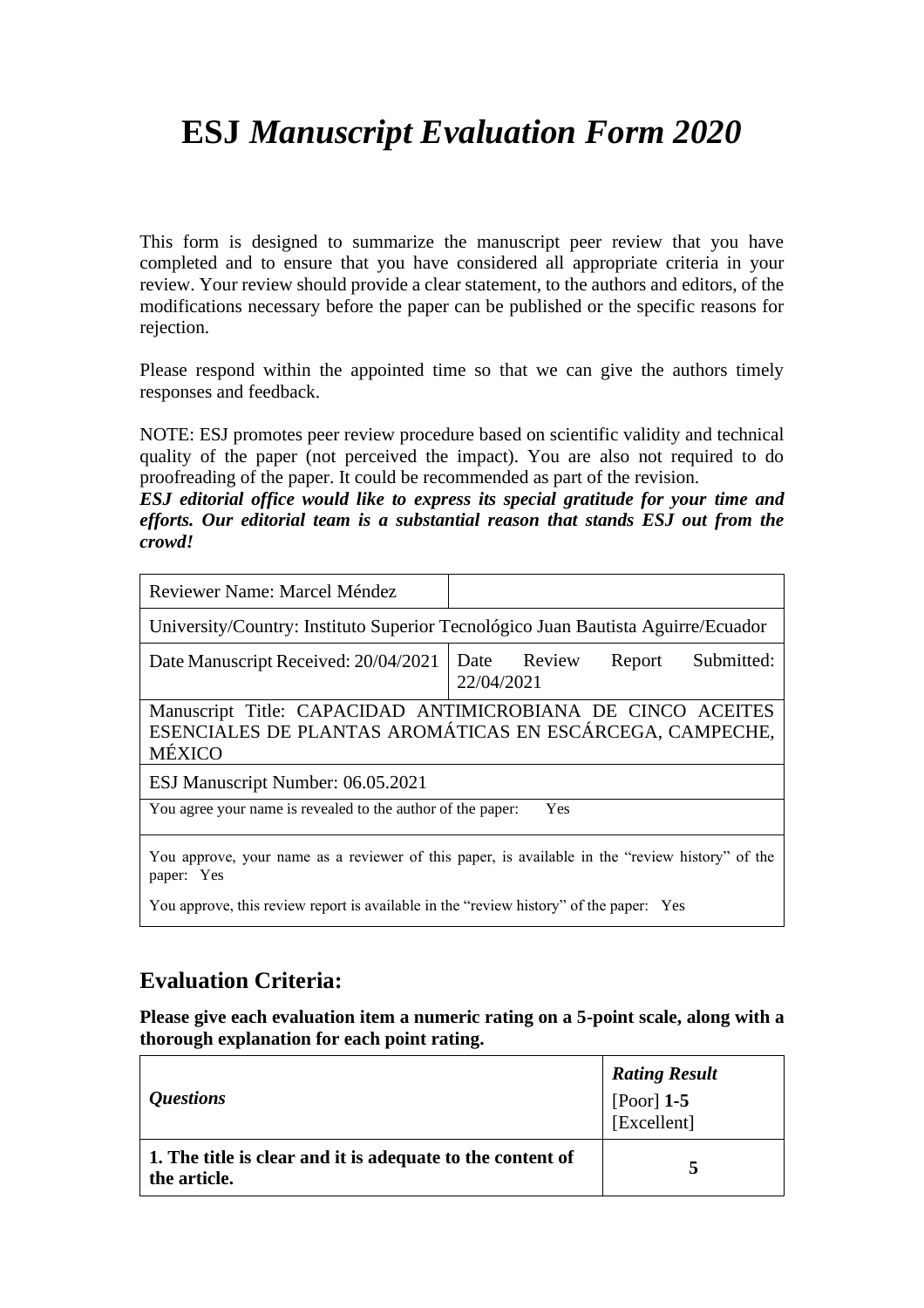# **ESJ** *Manuscript Evaluation Form 2020*

This form is designed to summarize the manuscript peer review that you have completed and to ensure that you have considered all appropriate criteria in your review. Your review should provide a clear statement, to the authors and editors, of the modifications necessary before the paper can be published or the specific reasons for rejection.

Please respond within the appointed time so that we can give the authors timely responses and feedback.

NOTE: ESJ promotes peer review procedure based on scientific validity and technical quality of the paper (not perceived the impact). You are also not required to do proofreading of the paper. It could be recommended as part of the revision.

*ESJ editorial office would like to express its special gratitude for your time and efforts. Our editorial team is a substantial reason that stands ESJ out from the crowd!*

| Reviewer Name: Marcel Méndez                                                                                  |                                                                                                                         |  |
|---------------------------------------------------------------------------------------------------------------|-------------------------------------------------------------------------------------------------------------------------|--|
|                                                                                                               | University/Country: Instituto Superior Tecnológico Juan Bautista Aguirre/Ecuador                                        |  |
| Date Manuscript Received: 20/04/2021                                                                          | Date Review<br>Submitted:<br>Report<br>22/04/2021                                                                       |  |
| <b>MÉXICO</b>                                                                                                 | Manuscript Title: CAPACIDAD ANTIMICROBIANA DE CINCO ACEITES<br>ESENCIALES DE PLANTAS AROMÁTICAS EN ESCÁRCEGA, CAMPECHE, |  |
| ESJ Manuscript Number: 06.05.2021                                                                             |                                                                                                                         |  |
| You agree your name is revealed to the author of the paper:                                                   | Yes                                                                                                                     |  |
| You approve, your name as a reviewer of this paper, is available in the "review history" of the<br>paper: Yes |                                                                                                                         |  |

You approve, this review report is available in the "review history" of the paper: Yes

## **Evaluation Criteria:**

**Please give each evaluation item a numeric rating on a 5-point scale, along with a thorough explanation for each point rating.**

| <i><b>Questions</b></i>                                                    | <b>Rating Result</b><br>[Poor] $1-5$<br>[Excellent] |
|----------------------------------------------------------------------------|-----------------------------------------------------|
| 1. The title is clear and it is adequate to the content of<br>the article. |                                                     |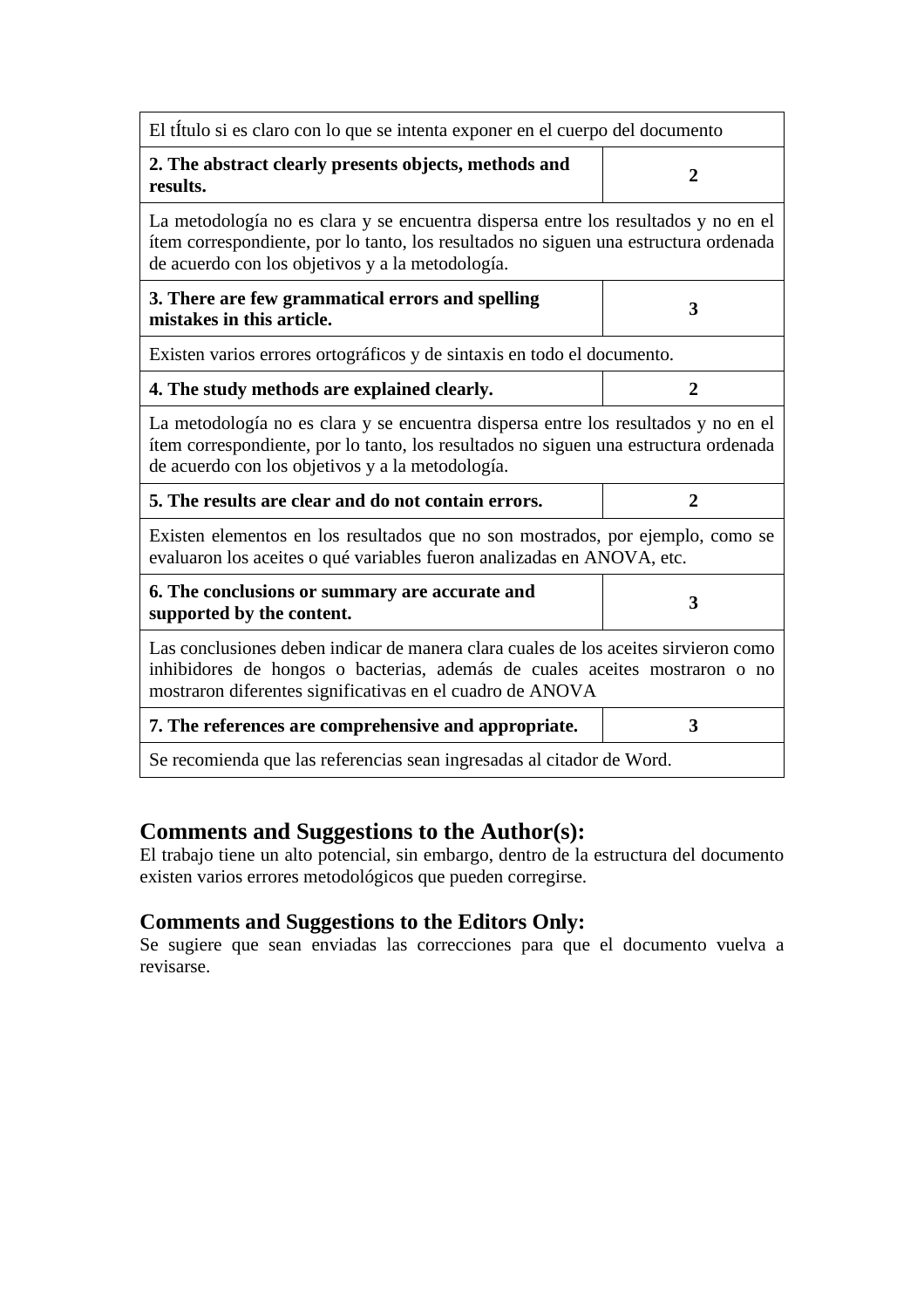| El título si es claro con lo que se intenta exponer en el cuerpo del documento                                                                                                                                                 |                |  |
|--------------------------------------------------------------------------------------------------------------------------------------------------------------------------------------------------------------------------------|----------------|--|
| 2. The abstract clearly presents objects, methods and<br>results.                                                                                                                                                              | $\overline{2}$ |  |
| La metodología no es clara y se encuentra dispersa entre los resultados y no en el<br>ítem correspondiente, por lo tanto, los resultados no siguen una estructura ordenada<br>de acuerdo con los objetivos y a la metodología. |                |  |
| 3. There are few grammatical errors and spelling<br>mistakes in this article.                                                                                                                                                  | 3              |  |
| Existen varios errores ortográficos y de sintaxis en todo el documento.                                                                                                                                                        |                |  |
| 4. The study methods are explained clearly.                                                                                                                                                                                    | $\overline{2}$ |  |
| La metodología no es clara y se encuentra dispersa entre los resultados y no en el<br>ítem correspondiente, por lo tanto, los resultados no siguen una estructura ordenada<br>de acuerdo con los objetivos y a la metodología. |                |  |
| 5. The results are clear and do not contain errors.<br>$\overline{2}$                                                                                                                                                          |                |  |
| Existen elementos en los resultados que no son mostrados, por ejemplo, como se<br>evaluaron los aceites o qué variables fueron analizadas en ANOVA, etc.                                                                       |                |  |
| 6. The conclusions or summary are accurate and<br>supported by the content.                                                                                                                                                    | 3              |  |
| Las conclusiones deben indicar de manera clara cuales de los aceites sirvieron como<br>inhibidores de hongos o bacterias, además de cuales aceites mostraron o no<br>mostraron diferentes significativas en el cuadro de ANOVA |                |  |
| 7. The references are comprehensive and appropriate.                                                                                                                                                                           | 3              |  |
| Se recomienda que las referencias sean ingresadas al citador de Word.                                                                                                                                                          |                |  |

## **Comments and Suggestions to the Author(s):**

El trabajo tiene un alto potencial, sin embargo, dentro de la estructura del documento existen varios errores metodológicos que pueden corregirse.

#### **Comments and Suggestions to the Editors Only:**

Se sugiere que sean enviadas las correcciones para que el documento vuelva a revisarse.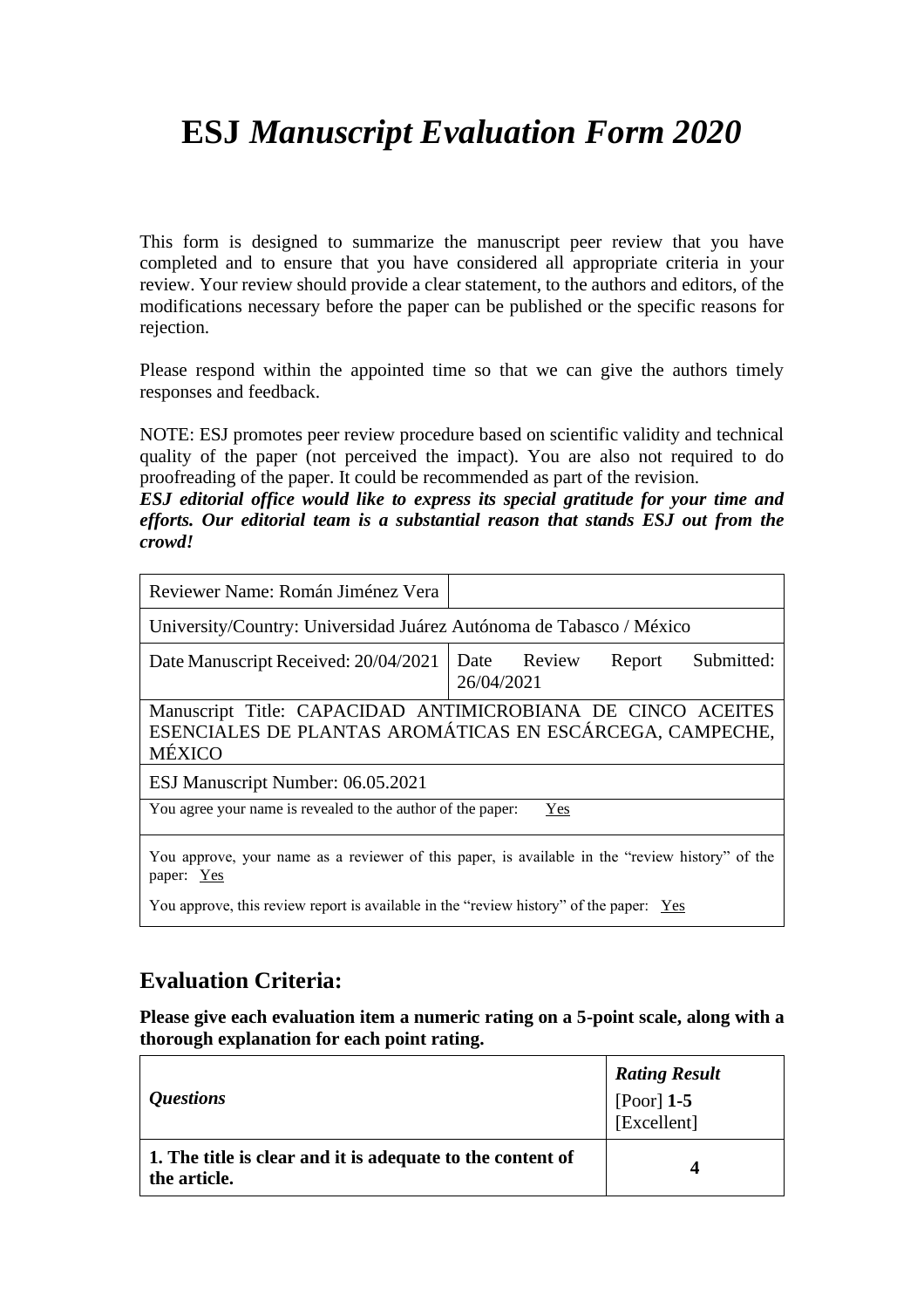# **ESJ** *Manuscript Evaluation Form 2020*

This form is designed to summarize the manuscript peer review that you have completed and to ensure that you have considered all appropriate criteria in your review. Your review should provide a clear statement, to the authors and editors, of the modifications necessary before the paper can be published or the specific reasons for rejection.

Please respond within the appointed time so that we can give the authors timely responses and feedback.

NOTE: ESJ promotes peer review procedure based on scientific validity and technical quality of the paper (not perceived the impact). You are also not required to do proofreading of the paper. It could be recommended as part of the revision.

*ESJ editorial office would like to express its special gratitude for your time and efforts. Our editorial team is a substantial reason that stands ESJ out from the crowd!*

| Reviewer Name: Román Jiménez Vera                                                                                                 |                                                   |  |
|-----------------------------------------------------------------------------------------------------------------------------------|---------------------------------------------------|--|
| University/Country: Universidad Juárez Autónoma de Tabasco / México                                                               |                                                   |  |
| Date Manuscript Received: 20/04/2021                                                                                              | Date Review<br>Submitted:<br>Report<br>26/04/2021 |  |
| Manuscript Title: CAPACIDAD ANTIMICROBIANA DE CINCO ACEITES<br>ESENCIALES DE PLANTAS AROMÁTICAS EN ESCÁRCEGA, CAMPECHE,<br>MÉXICO |                                                   |  |
| ESJ Manuscript Number: 06.05.2021                                                                                                 |                                                   |  |
| You agree your name is revealed to the author of the paper:<br>Yes                                                                |                                                   |  |
| You approve, your name as a reviewer of this paper, is available in the "review history" of the<br>paper: Yes                     |                                                   |  |

You approve, this review report is available in the "review history" of the paper: <u>Yes</u>

## **Evaluation Criteria:**

**Please give each evaluation item a numeric rating on a 5-point scale, along with a thorough explanation for each point rating.**

| <i><b>Questions</b></i>                                                    | <b>Rating Result</b><br>[Poor] 1-5<br>[Excellent] |
|----------------------------------------------------------------------------|---------------------------------------------------|
| 1. The title is clear and it is adequate to the content of<br>the article. | 4                                                 |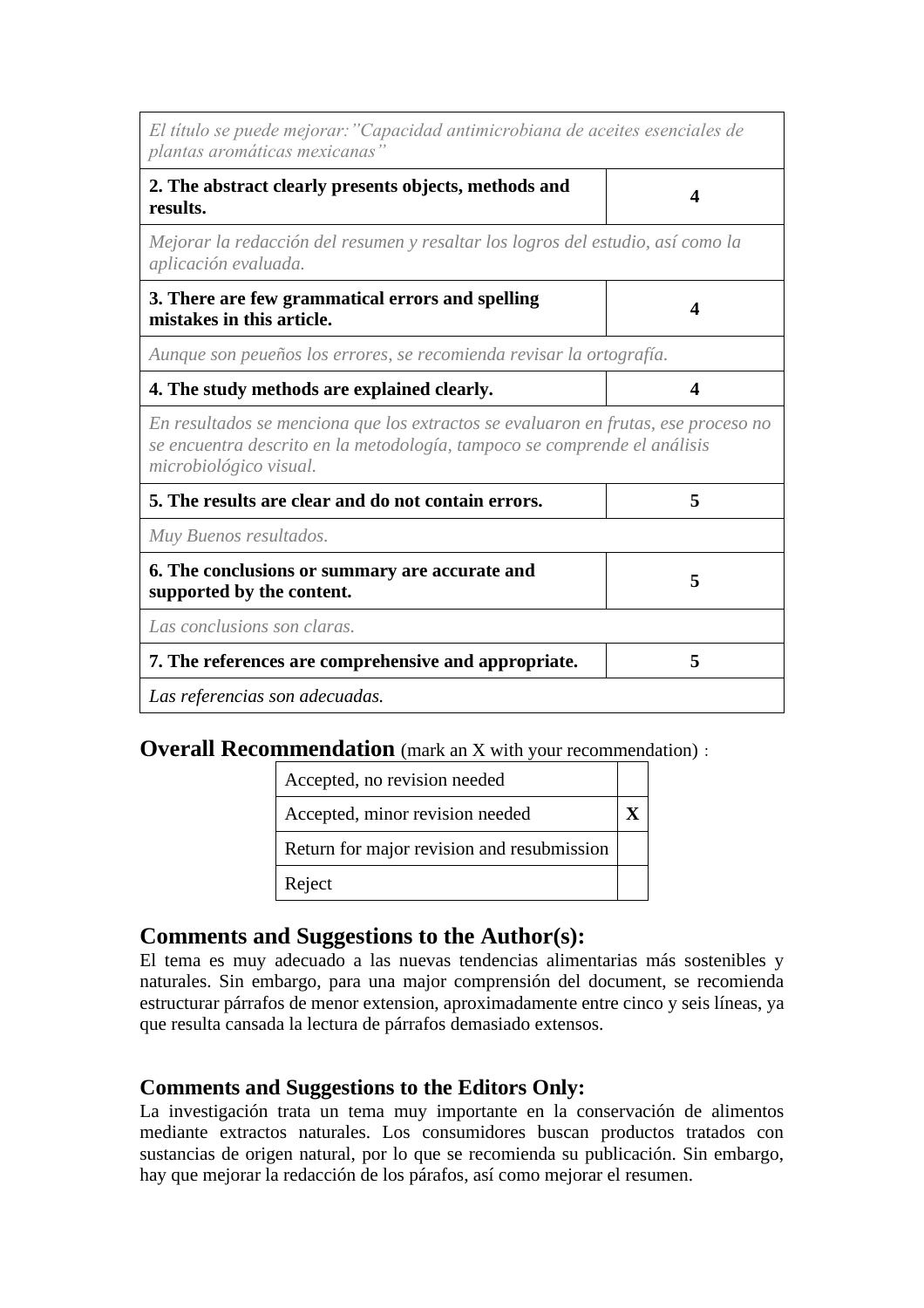| El título se puede mejorar: "Capacidad antimicrobiana de aceites esenciales de<br>plantas aromáticas mexicanas"                                                                           |   |  |
|-------------------------------------------------------------------------------------------------------------------------------------------------------------------------------------------|---|--|
| 2. The abstract clearly presents objects, methods and<br>results.                                                                                                                         | Δ |  |
| Mejorar la redacción del resumen y resaltar los logros del estudio, así como la<br>aplicación evaluada.                                                                                   |   |  |
| 3. There are few grammatical errors and spelling<br>mistakes in this article.                                                                                                             | 4 |  |
| Aunque son peueños los errores, se recomienda revisar la ortografía.                                                                                                                      |   |  |
| 4. The study methods are explained clearly.<br>$\boldsymbol{\Delta}$                                                                                                                      |   |  |
| En resultados se menciona que los extractos se evaluaron en frutas, ese proceso no<br>se encuentra descrito en la metodología, tampoco se comprende el análisis<br>microbiológico visual. |   |  |
| 5. The results are clear and do not contain errors.<br>5                                                                                                                                  |   |  |
| Muy Buenos resultados.                                                                                                                                                                    |   |  |
| 6. The conclusions or summary are accurate and<br>supported by the content.                                                                                                               | 5 |  |
| Las conclusions son claras.                                                                                                                                                               |   |  |
| 7. The references are comprehensive and appropriate.                                                                                                                                      | 5 |  |
| Las referencias son adecuadas.                                                                                                                                                            |   |  |

#### **Overall Recommendation** (mark an X with your recommendation):

| Accepted, no revision needed               |  |
|--------------------------------------------|--|
| Accepted, minor revision needed            |  |
| Return for major revision and resubmission |  |
| Reject                                     |  |

#### **Comments and Suggestions to the Author(s):**

El tema es muy adecuado a las nuevas tendencias alimentarias más sostenibles y naturales. Sin embargo, para una major comprensión del document, se recomienda estructurar párrafos de menor extension, aproximadamente entre cinco y seis líneas, ya que resulta cansada la lectura de párrafos demasiado extensos.

#### **Comments and Suggestions to the Editors Only:**

La investigación trata un tema muy importante en la conservación de alimentos mediante extractos naturales. Los consumidores buscan productos tratados con sustancias de origen natural, por lo que se recomienda su publicación. Sin embargo, hay que mejorar la redacción de los párafos, así como mejorar el resumen.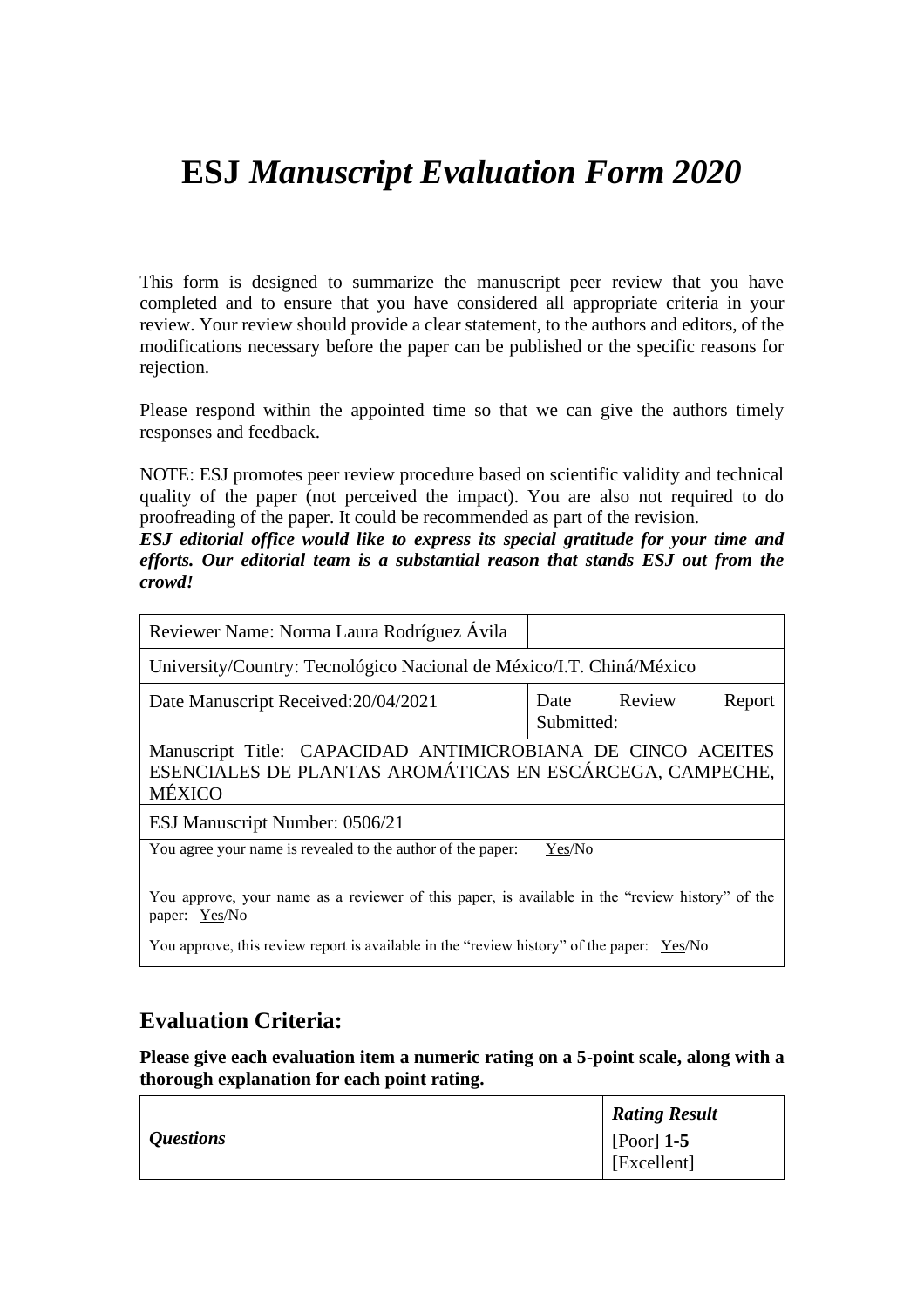## **ESJ** *Manuscript Evaluation Form 2020*

This form is designed to summarize the manuscript peer review that you have completed and to ensure that you have considered all appropriate criteria in your review. Your review should provide a clear statement, to the authors and editors, of the modifications necessary before the paper can be published or the specific reasons for rejection.

Please respond within the appointed time so that we can give the authors timely responses and feedback.

NOTE: ESJ promotes peer review procedure based on scientific validity and technical quality of the paper (not perceived the impact). You are also not required to do proofreading of the paper. It could be recommended as part of the revision.

*ESJ editorial office would like to express its special gratitude for your time and efforts. Our editorial team is a substantial reason that stands ESJ out from the crowd!*

| Reviewer Name: Norma Laura Rodríguez Ávila                                                                                               |                           |  |        |
|------------------------------------------------------------------------------------------------------------------------------------------|---------------------------|--|--------|
| University/Country: Tecnológico Nacional de México/I.T. Chiná/México                                                                     |                           |  |        |
| Date Manuscript Received: 20/04/2021                                                                                                     | Date Review<br>Submitted: |  | Report |
| Manuscript Title: CAPACIDAD ANTIMICROBIANA DE CINCO ACEITES<br>ESENCIALES DE PLANTAS AROMÁTICAS EN ESCÁRCEGA, CAMPECHE,<br><b>MÉXICO</b> |                           |  |        |
| ESJ Manuscript Number: 0506/21                                                                                                           |                           |  |        |
| You agree your name is revealed to the author of the paper:                                                                              | Yes/No                    |  |        |
| You approve, your name as a reviewer of this paper, is available in the "review history" of the<br>paper: Yes/No                         |                           |  |        |

You approve, this review report is available in the "review history" of the paper: Yes/No

### **Evaluation Criteria:**

**Please give each evaluation item a numeric rating on a 5-point scale, along with a thorough explanation for each point rating.**

|                  | <b>Rating Result</b>                  |
|------------------|---------------------------------------|
| <i>Questions</i> | $[$ [Poor] 1-5<br>$\vert$ [Excellent] |